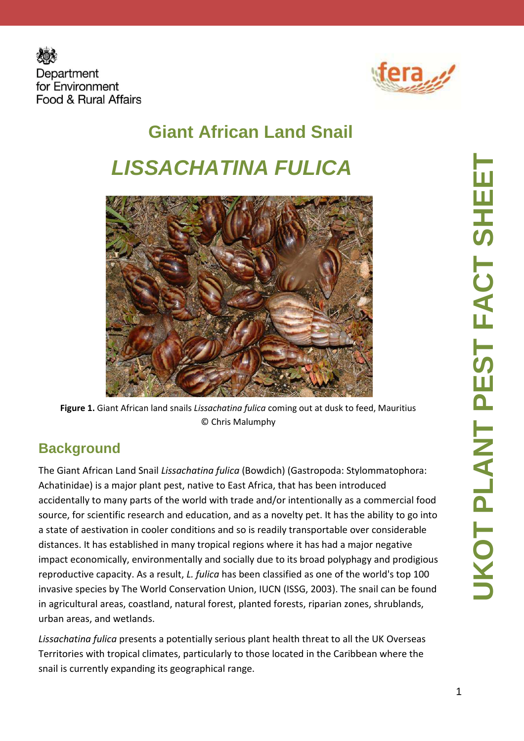



# **Giant African Land Snail LISSACHATINA FULICA**



**Figure 1.** Giant African land snails *Lissachatina fulica* coming out at dusk to feed, Mauritius © Chris Malumphy

#### **Background**

The Giant African Land Snail *Lissachatina fulica* (Bowdich) (Gastropoda: Stylommatophora: Achatinidae) is a major plant pest, native to East Africa, that has been introduced accidentally to many parts of the world with trade and/or intentionally as a commercial food source, for scientific research and education, and as a novelty pet. It has the ability to go into a state of aestivation in cooler conditions and so is readily transportable over considerable distances. It has established in many tropical regions where it has had a major negative impact economically, environmentally and socially due to its broad polyphagy and prodigious reproductive capacity. As a result, *L. fulica* has been classified as one of the world's top 100 invasive species by The World Conservation Union, IUCN (ISSG, 2003). The snail can be found in agricultural areas, coastland, natural forest, planted forests, riparian zones, shrublands, urban areas, and wetlands.

*Lissachatina fulica* presents a potentially serious plant health threat to all the UK Overseas Territories with tropical climates, particularly to those located in the Caribbean where the snail is currently expanding its geographical range.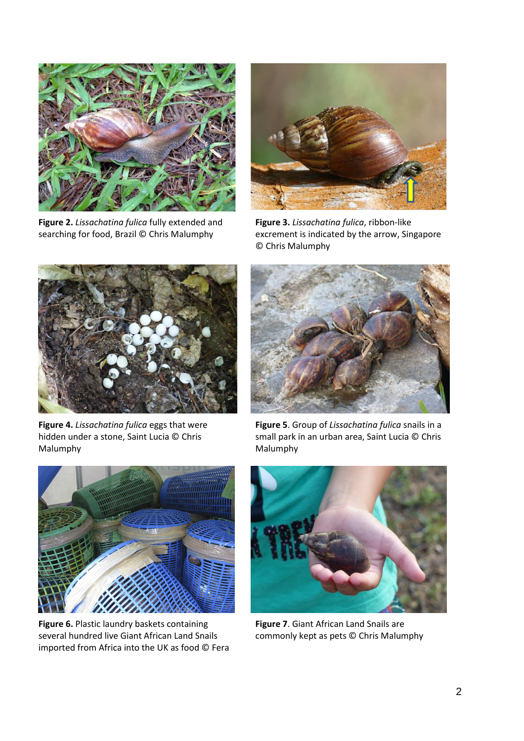

**Figure 2.** *Lissachatina fulica* fully extended and searching for food, Brazil © Chris Malumphy



**Figure 3.** *Lissachatina fulica*, ribbon-like excrement is indicated by the arrow, Singapore © Chris Malumphy



**Figure 4.** *Lissachatina fulica* eggs that were hidden under a stone, Saint Lucia © Chris Malumphy



**Figure 5**. Group of *Lissachatina fulica* snails in a small park in an urban area, Saint Lucia © Chris Malumphy



**Figure 6.** Plastic laundry baskets containing several hundred live Giant African Land Snails imported from Africa into the UK as food © Fera



**Figure 7**. Giant African Land Snails are commonly kept as pets © Chris Malumphy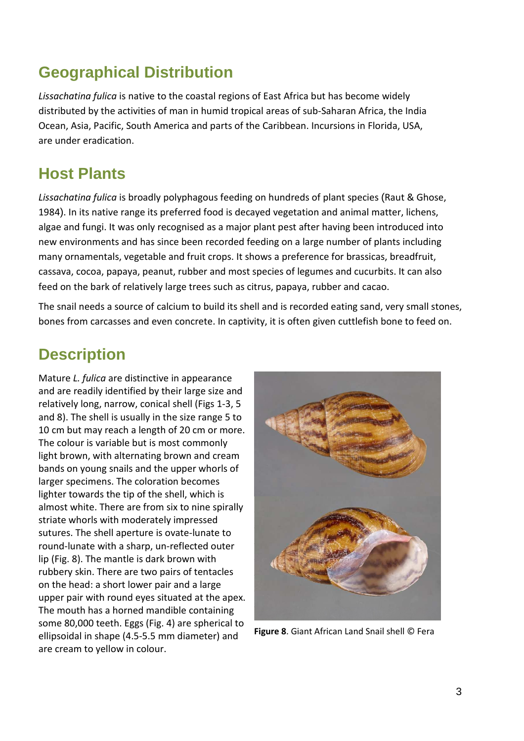#### **Geographical Distribution**

*Lissachatina fulica* is native to the coastal regions of East Africa but has become widely distributed by the activities of man in humid tropical areas of sub-Saharan Africa, the India Ocean, Asia, Pacific, South America and parts of the Caribbean. Incursions in Florida, USA, are under eradication.

#### **Host Plants**

*Lissachatina fulica* is broadly polyphagous feeding on hundreds of plant species (Raut & Ghose, 1984). In its native range its preferred food is decayed vegetation and animal matter, lichens, algae and fungi. It was only recognised as a major plant pest after having been introduced into new environments and has since been recorded feeding on a large number of plants including many ornamentals, vegetable and fruit crops. It shows a preference for brassicas, breadfruit, cassava, cocoa, papaya, peanut, rubber and most species of legumes and cucurbits. It can also feed on the bark of relatively large trees such as citrus, papaya, rubber and cacao.

The snail needs a source of calcium to build its shell and is recorded eating sand, very small stones, bones from carcasses and even concrete. In captivity, it is often given cuttlefish bone to feed on.

## **Description**

Mature *L. fulica* are distinctive in appearance and are readily identified by their large size and relatively long, narrow, conical shell (Figs 1-3, 5 and 8). The shell is usually in the size range 5 to 10 cm but may reach a length of 20 cm or more. The colour is variable but is most commonly light brown, with alternating brown and cream bands on young snails and the upper whorls of larger specimens. The coloration becomes lighter towards the tip of the shell, which is almost white. There are from six to nine spirally striate whorls with moderately impressed sutures. The shell aperture is ovate-lunate to round-lunate with a sharp, un-reflected outer lip (Fig. 8). The mantle is dark brown with rubbery skin. There are two pairs of tentacles on the head: a short lower pair and a large upper pair with round eyes situated at the apex. The mouth has a horned mandible containing some 80,000 teeth. Eggs (Fig. 4) are spherical to ellipsoidal in shape (4.5-5.5 mm diameter) and are cream to yellow in colour.



**Figure 8**. Giant African Land Snail shell © Fera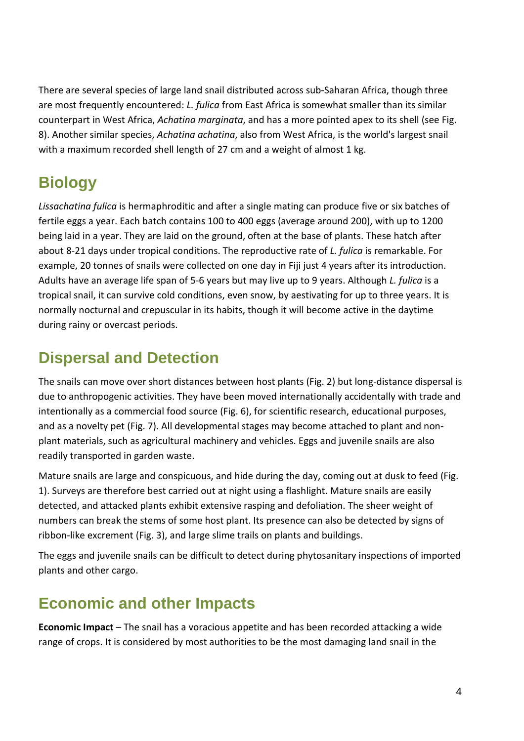There are several species of large land snail distributed across sub-Saharan Africa, though three are most frequently encountered: *L. fulica* from East Africa is somewhat smaller than its similar counterpart in West Africa, *Achatina marginata*, and has a more pointed apex to its shell (see Fig. 8). Another similar species, *Achatina achatina*, also from West Africa, is the world's largest snail with a maximum recorded shell length of 27 cm and a weight of almost 1 kg.

## **Biology**

*Lissachatina fulica* is hermaphroditic and after a single mating can produce five or six batches of fertile eggs a year. Each batch contains 100 to 400 eggs (average around 200), with up to 1200 being laid in a year. They are laid on the ground, often at the base of plants. These hatch after about 8-21 days under tropical conditions. The reproductive rate of *L. fulica* is remarkable. For example, 20 tonnes of snails were collected on one day in Fiji just 4 years after its introduction. Adults have an average life span of 5-6 years but may live up to 9 years. Although *L. fulica* is a tropical snail, it can survive cold conditions, even snow, by aestivating for up to three years. It is normally nocturnal and crepuscular in its habits, though it will become active in the daytime during rainy or overcast periods.

#### **Dispersal and Detection**

The snails can move over short distances between host plants (Fig. 2) but long-distance dispersal is due to anthropogenic activities. They have been moved internationally accidentally with trade and intentionally as a commercial food source (Fig. 6), for scientific research, educational purposes, and as a novelty pet (Fig. 7). All developmental stages may become attached to plant and nonplant materials, such as agricultural machinery and vehicles. Eggs and juvenile snails are also readily transported in garden waste.

Mature snails are large and conspicuous, and hide during the day, coming out at dusk to feed (Fig. 1). Surveys are therefore best carried out at night using a flashlight. Mature snails are easily detected, and attacked plants exhibit extensive rasping and defoliation. The sheer weight of numbers can break the stems of some host plant. Its presence can also be detected by signs of ribbon-like excrement (Fig. 3), and large slime trails on plants and buildings.

The eggs and juvenile snails can be difficult to detect during phytosanitary inspections of imported plants and other cargo.

## **Economic and other Impacts**

**Economic Impact** – The snail has a voracious appetite and has been recorded attacking a wide range of crops. It is considered by most authorities to be the most damaging land snail in the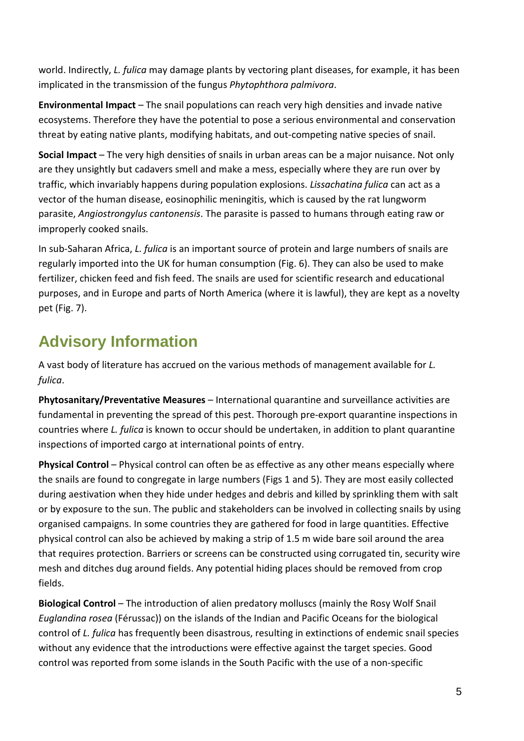world. Indirectly, *L. fulica* may damage plants by vectoring plant diseases, for example, it has been implicated in the transmission of the fungus *Phytophthora palmivora*.

**Environmental Impact** – The snail populations can reach very high densities and invade native ecosystems. Therefore they have the potential to pose a serious environmental and conservation threat by eating native plants, modifying habitats, and out-competing native species of snail.

**Social Impact** – The very high densities of snails in urban areas can be a major nuisance. Not only are they unsightly but cadavers smell and make a mess, especially where they are run over by traffic, which invariably happens during population explosions. *Lissachatina fulica* can act as a vector of the human disease, eosinophilic meningitis, which is caused by the rat lungworm parasite, *Angiostrongylus cantonensis*. The parasite is passed to humans through eating raw or improperly cooked snails.

In sub-Saharan Africa, *L. fulica* is an important source of protein and large numbers of snails are regularly imported into the UK for human consumption (Fig. 6). They can also be used to make fertilizer, chicken feed and fish feed. The snails are used for scientific research and educational purposes, and in Europe and parts of North America (where it is lawful), they are kept as a novelty pet (Fig. 7).

## **Advisory Information**

A vast body of literature has accrued on the various methods of management available for *L. fulica*.

**Phytosanitary/Preventative Measures** – International quarantine and surveillance activities are fundamental in preventing the spread of this pest. Thorough pre-export quarantine inspections in countries where *L. fulica* is known to occur should be undertaken, in addition to plant quarantine inspections of imported cargo at international points of entry.

**Physical Control** – Physical control can often be as effective as any other means especially where the snails are found to congregate in large numbers (Figs 1 and 5). They are most easily collected during aestivation when they hide under hedges and debris and killed by sprinkling them with salt or by exposure to the sun. The public and stakeholders can be involved in collecting snails by using organised campaigns. In some countries they are gathered for food in large quantities. Effective physical control can also be achieved by making a strip of 1.5 m wide bare soil around the area that requires protection. Barriers or screens can be constructed using corrugated tin, security wire mesh and ditches dug around fields. Any potential hiding places should be removed from crop fields.

**Biological Control** – The introduction of alien predatory molluscs (mainly the Rosy Wolf Snail *Euglandina rosea* (Férussac)) on the islands of the Indian and Pacific Oceans for the biological control of *L. fulica* has frequently been disastrous, resulting in extinctions of endemic snail species without any evidence that the introductions were effective against the target species. Good control was reported from some islands in the South Pacific with the use of a non-specific